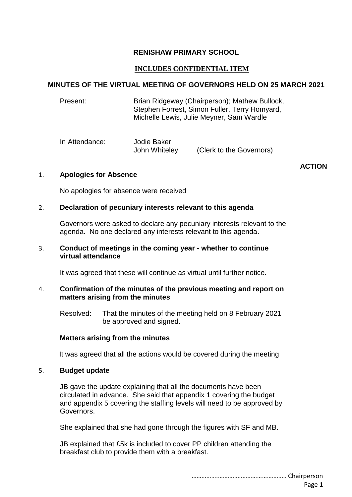## **RENISHAW PRIMARY SCHOOL**

# **INCLUDES CONFIDENTIAL ITEM**

# **MINUTES OF THE VIRTUAL MEETING OF GOVERNORS HELD ON 25 MARCH 2021**

#### Present: Brian Ridgeway (Chairperson); Mathew Bullock, Stephen Forrest, Simon Fuller, Terry Homyard, Michelle Lewis, Julie Meyner, Sam Wardle

| In Attendance: | Jodie Baker   |                          |
|----------------|---------------|--------------------------|
|                | John Whiteley | (Clerk to the Governors) |

|    |                                                                                                                                                                                                                                |                                                                                                                                           | <b>ACTION</b> |
|----|--------------------------------------------------------------------------------------------------------------------------------------------------------------------------------------------------------------------------------|-------------------------------------------------------------------------------------------------------------------------------------------|---------------|
| 1. | <b>Apologies for Absence</b>                                                                                                                                                                                                   |                                                                                                                                           |               |
|    | No apologies for absence were received                                                                                                                                                                                         |                                                                                                                                           |               |
| 2. | Declaration of pecuniary interests relevant to this agenda                                                                                                                                                                     |                                                                                                                                           |               |
|    |                                                                                                                                                                                                                                | Governors were asked to declare any pecuniary interests relevant to the<br>agenda. No one declared any interests relevant to this agenda. |               |
| 3. | Conduct of meetings in the coming year - whether to continue<br>virtual attendance                                                                                                                                             |                                                                                                                                           |               |
|    |                                                                                                                                                                                                                                | It was agreed that these will continue as virtual until further notice.                                                                   |               |
| 4. | Confirmation of the minutes of the previous meeting and report on<br>matters arising from the minutes                                                                                                                          |                                                                                                                                           |               |
|    | Resolved:                                                                                                                                                                                                                      | That the minutes of the meeting held on 8 February 2021<br>be approved and signed.                                                        |               |
|    | <b>Matters arising from the minutes</b>                                                                                                                                                                                        |                                                                                                                                           |               |
|    | It was agreed that all the actions would be covered during the meeting                                                                                                                                                         |                                                                                                                                           |               |
| 5. | <b>Budget update</b>                                                                                                                                                                                                           |                                                                                                                                           |               |
|    | JB gave the update explaining that all the documents have been<br>circulated in advance. She said that appendix 1 covering the budget<br>and appendix 5 covering the staffing levels will need to be approved by<br>Governors. |                                                                                                                                           |               |
|    | She explained that she had gone through the figures with SF and MB.                                                                                                                                                            |                                                                                                                                           |               |
|    |                                                                                                                                                                                                                                | JB explained that £5k is included to cover PP children attending the<br>breakfast club to provide them with a breakfast.                  |               |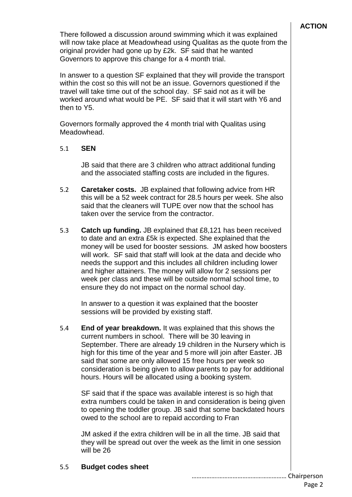There followed a discussion around swimming which it was explained will now take place at Meadowhead using Qualitas as the quote from the original provider had gone up by £2k. SF said that he wanted Governors to approve this change for a 4 month trial.

In answer to a question SF explained that they will provide the transport within the cost so this will not be an issue. Governors questioned if the travel will take time out of the school day. SF said not as it will be worked around what would be PE. SF said that it will start with Y6 and then to Y5.

Governors formally approved the 4 month trial with Qualitas using Meadowhead.

### 5.1 **SEN**

JB said that there are 3 children who attract additional funding and the associated staffing costs are included in the figures.

- 5.2 **Caretaker costs.** JB explained that following advice from HR this will be a 52 week contract for 28.5 hours per week. She also said that the cleaners will TUPE over now that the school has taken over the service from the contractor.
- 5.3 **Catch up funding.** JB explained that £8,121 has been received to date and an extra £5k is expected. She explained that the money will be used for booster sessions. JM asked how boosters will work. SF said that staff will look at the data and decide who needs the support and this includes all children including lower and higher attainers. The money will allow for 2 sessions per week per class and these will be outside normal school time, to ensure they do not impact on the normal school day.

In answer to a question it was explained that the booster sessions will be provided by existing staff.

5.4 **End of year breakdown.** It was explained that this shows the current numbers in school. There will be 30 leaving in September. There are already 19 children in the Nursery which is high for this time of the year and 5 more will join after Easter. JB said that some are only allowed 15 free hours per week so consideration is being given to allow parents to pay for additional hours. Hours will be allocated using a booking system.

SF said that if the space was available interest is so high that extra numbers could be taken in and consideration is being given to opening the toddler group. JB said that some backdated hours owed to the school are to repaid according to Fran

JM asked if the extra children will be in all the time. JB said that they will be spread out over the week as the limit in one session will be 26

# 5.5 **Budget codes sheet**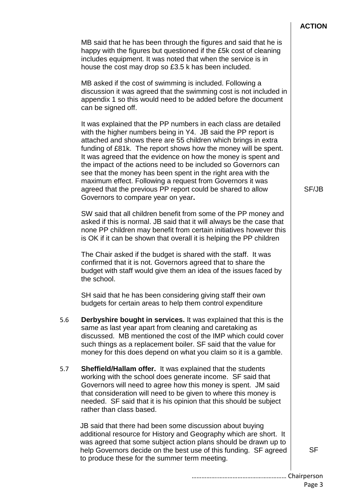### **ACTION**

MB said that he has been through the figures and said that he is happy with the figures but questioned if the £5k cost of cleaning includes equipment. It was noted that when the service is in house the cost may drop so £3.5 k has been included. MB asked if the cost of swimming is included. Following a discussion it was agreed that the swimming cost is not included in appendix 1 so this would need to be added before the document can be signed off. It was explained that the PP numbers in each class are detailed with the higher numbers being in Y4. JB said the PP report is attached and shows there are 55 children which brings in extra funding of £81k. The report shows how the money will be spent. It was agreed that the evidence on how the money is spent and the impact of the actions need to be included so Governors can see that the money has been spent in the right area with the maximum effect. Following a request from Governors it was agreed that the previous PP report could be shared to allow Governors to compare year on year**.** SW said that all children benefit from some of the PP money and asked if this is normal. JB said that it will always be the case that none PP children may benefit from certain initiatives however this is OK if it can be shown that overall it is helping the PP children The Chair asked if the budget is shared with the staff. It was confirmed that it is not. Governors agreed that to share the budget with staff would give them an idea of the issues faced by the school. SH said that he has been considering giving staff their own budgets for certain areas to help them control expenditure 5.6 **Derbyshire bought in services.** It was explained that this is the same as last year apart from cleaning and caretaking as discussed. MB mentioned the cost of the IMP which could cover such things as a replacement boiler. SF said that the value for money for this does depend on what you claim so it is a gamble. 5.7 **Sheffield/Hallam offer.** It was explained that the students working with the school does generate income. SF said that Governors will need to agree how this money is spent. JM said that consideration will need to be given to where this money is needed. SF said that it is his opinion that this should be subject rather than class based. JB said that there had been some discussion about buying additional resource for History and Geography which are short. It was agreed that some subject action plans should be drawn up to help Governors decide on the best use of this funding. SF agreed to produce these for the summer term meeting. SF/JB SF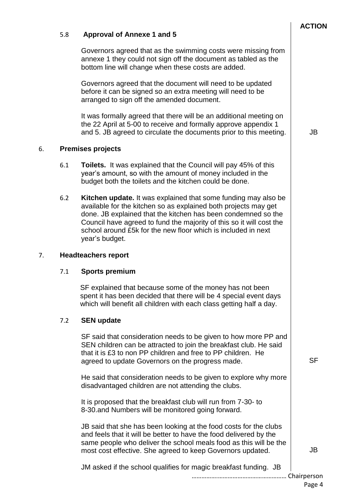# …………….…………………………………… Chairperson Governors agreed that as the swimming costs were missing from annexe 1 they could not sign off the document as tabled as the bottom line will change when these costs are added. Governors agreed that the document will need to be updated before it can be signed so an extra meeting will need to be arranged to sign off the amended document. It was formally agreed that there will be an additional meeting on the 22 April at 5-00 to receive and formally approve appendix 1 and 5. JB agreed to circulate the documents prior to this meeting. 6.1 **Toilets.** It was explained that the Council will pay 45% of this year's amount, so with the amount of money included in the budget both the toilets and the kitchen could be done. 6.2 **Kitchen update.** It was explained that some funding may also be available for the kitchen so as explained both projects may get done. JB explained that the kitchen has been condemned so the Council have agreed to fund the majority of this so it will cost the school around £5k for the new floor which is included in next year's budget. 7.1 **Sports premium** SF explained that because some of the money has not been spent it has been decided that there will be 4 special event days which will benefit all children with each class getting half a day. 7.2 **SEN update** SF said that consideration needs to be given to how more PP and SEN children can be attracted to join the breakfast club. He said that it is £3 to non PP children and free to PP children. He agreed to update Governors on the progress made. He said that consideration needs to be given to explore why more disadvantaged children are not attending the clubs. It is proposed that the breakfast club will run from 7-30- to 8-30.and Numbers will be monitored going forward. JB said that she has been looking at the food costs for the clubs and feels that it will be better to have the food delivered by the same people who deliver the school meals food as this will be the most cost effective. She agreed to keep Governors updated. JM asked if the school qualifies for magic breakfast funding. JB JB JB

# 5.8 **Approval of Annexe 1 and 5**

# 6. **Premises projects**

# 7. **Headteachers report**

**SF**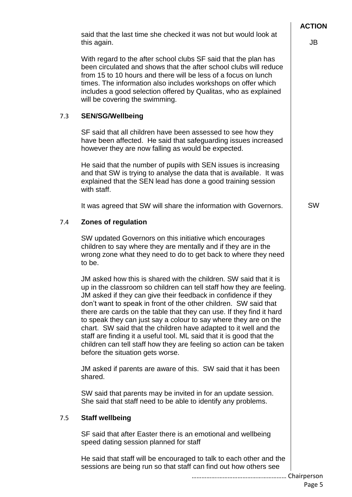…………….…………………………………… Chairperson includes a good selection offered by Qualitas, who as explained will be covering the swimming. 7.3 **SEN/SG/Wellbeing** SF said that all children have been assessed to see how they have been affected. He said that safeguarding issues increased however they are now falling as would be expected. He said that the number of pupils with SEN issues is increasing and that SW is trying to analyse the data that is available. It was explained that the SEN lead has done a good training session with staff. It was agreed that SW will share the information with Governors. 7.4 **Zones of regulation** SW updated Governors on this initiative which encourages children to say where they are mentally and if they are in the wrong zone what they need to do to get back to where they need to be. JM asked how this is shared with the children. SW said that it is up in the classroom so children can tell staff how they are feeling. JM asked if they can give their feedback in confidence if they don't want to speak in front of the other children. SW said that there are cards on the table that they can use. If they find it hard to speak they can just say a colour to say where they are on the chart. SW said that the children have adapted to it well and the staff are finding it a useful tool. ML said that it is good that the children can tell staff how they are feeling so action can be taken before the situation gets worse. JM asked if parents are aware of this. SW said that it has been shared. SW said that parents may be invited in for an update session. She said that staff need to be able to identify any problems. 7.5 **Staff wellbeing** SF said that after Easter there is an emotional and wellbeing speed dating session planned for staff He said that staff will be encouraged to talk to each other and the sessions are being run so that staff can find out how others see SW

With regard to the after school clubs SF said that the plan has been circulated and shows that the after school clubs will reduce from 15 to 10 hours and there will be less of a focus on lunch times. The information also includes workshops on offer which

this again.

JB

Page 5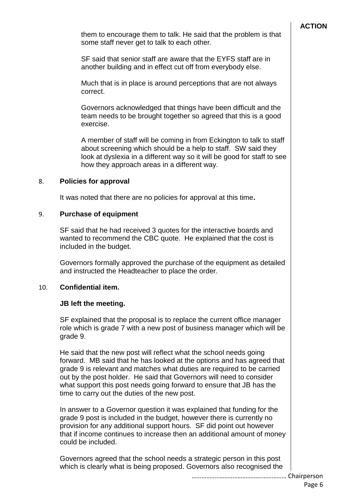## **ACTION**

them to encourage them to talk. He said that the problem is that some staff never get to talk to each other.

SF said that senior staff are aware that the EYFS staff are in another building and in effect cut off from everybody else.

Much that is in place is around perceptions that are not always correct.

Governors acknowledged that things have been difficult and the team needs to be brought together so agreed that this is a good exercise.

A member of staff will be coming in from Eckington to talk to staff about screening which should be a help to staff. SW said they look at dyslexia in a different way so it will be good for staff to see how they approach areas in a different way.

#### 8. **Policies for approval**

It was noted that there are no policies for approval at this time**.**

### 9. **Purchase of equipment**

SF said that he had received 3 quotes for the interactive boards and wanted to recommend the CBC quote. He explained that the cost is included in the budget.

Governors formally approved the purchase of the equipment as detailed and instructed the Headteacher to place the order.

# 10. **Confidential item.**

#### **JB left the meeting.**

SF explained that the proposal is to replace the current office manager role which is grade 7 with a new post of business manager which will be grade 9.

He said that the new post will reflect what the school needs going forward. MB said that he has looked at the options and has agreed that grade 9 is relevant and matches what duties are required to be carried out by the post holder. He said that Governors will need to consider what support this post needs going forward to ensure that JB has the time to carry out the duties of the new post.

In answer to a Governor question it was explained that funding for the grade 9 post is included in the budget, however there is currently no provision for any additional support hours. SF did point out however that if income continues to increase then an additional amount of money could be included.

Governors agreed that the school needs a strategic person in this post which is clearly what is being proposed. Governors also recognised the